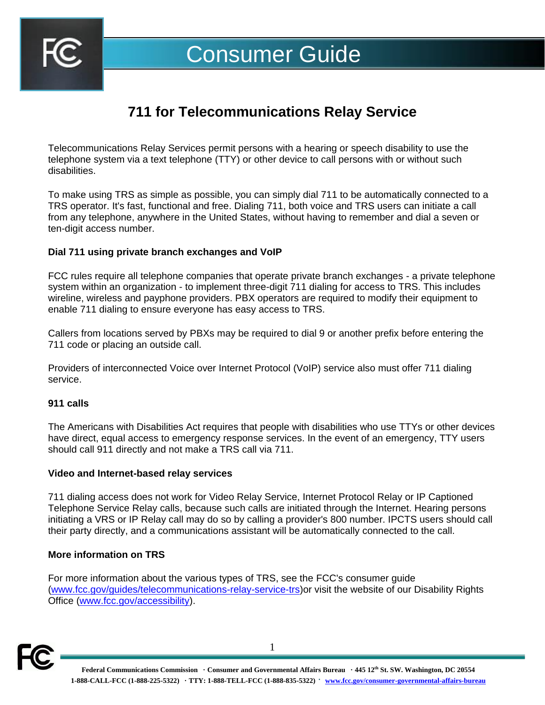

# **711 for Telecommunications Relay Service**

Telecommunications Relay Services permit persons with a hearing or speech disability to use the telephone system via a text telephone (TTY) or other device to call persons with or without such disabilities.

To make using TRS as simple as possible, you can simply dial 711 to be automatically connected to a TRS operator. It's fast, functional and free. Dialing 711, both voice and TRS users can initiate a call from any telephone, anywhere in the United States, without having to remember and dial a seven or ten-digit access number.

# **Dial 711 using private branch exchanges and VoIP**

FCC rules require all telephone companies that operate private branch exchanges - a private telephone system within an organization - to implement three-digit 711 dialing for access to TRS. This includes wireline, wireless and payphone providers. PBX operators are required to modify their equipment to enable 711 dialing to ensure everyone has easy access to TRS.

Callers from locations served by PBXs may be required to dial 9 or another prefix before entering the 711 code or placing an outside call.

Providers of interconnected Voice over Internet Protocol (VoIP) service also must offer 711 dialing service.

### **911 calls**

The Americans with Disabilities Act requires that people with disabilities who use TTYs or other devices have direct, equal access to emergency response services. In the event of an emergency, TTY users should call 911 directly and not make a TRS call via 711.

### **Video and Internet-based relay services**

711 dialing access does not work for Video Relay Service, Internet Protocol Relay or IP Captioned Telephone Service Relay calls, because such calls are initiated through the Internet. Hearing persons initiating a VRS or IP Relay call may do so by calling a provider's 800 number. IPCTS users should call their party directly, and a communications assistant will be automatically connected to the call.

### **More information on TRS**

For more information about the various types of TRS, see the FCC's consumer guide [\(www.fcc.gov/guides/telecommunications-relay-service-trs\)](https://www.fcc.gov/guides/telecommunications-relay-service-trs)or visit the website of our Disability Rights Office [\(www.fcc.gov/accessibility\)](https://www.fcc.gov/accessibility).